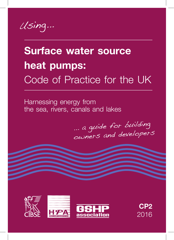Using...

# **Surface water source heat pumps:** Code of Practice for the UK

Harnessing energy from the sea, rivers, canals and lakes

... a guide for building owners and developers







**CP2** 2016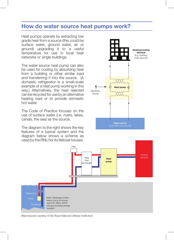## **How do water source heat pumps work?**

Heat pumps operate by extracting low grade heat from a source (this could be surface water, ground water, air or ground) upgrading it to a useful temperature for use in local heat networks or single buildings.

The water source heat pump can also be used for cooling by absorbing heat from a building or other similar load and transferring it into the source. (A domestic refrigerator is a small-scale example of a heat pump working in this way.) Alternatively, the heat rejected can be recycled for use by an alternative heating load or to provide domestic hot water.

The Code of Practice focuses on the use of surface water (i.e. rivers, lakes, canals, the sea) as the source.

The diagram to the right shows the key features of a typical system and the diagram below shows a scheme as used by the RNLI for its lifeboat houses.





*(Reproduced courtesy of the Royal National Lifeboat Institution)*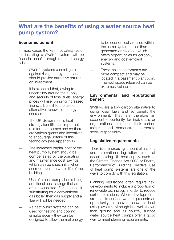# **What are the benefits of using a water source heat pump system?**

#### **Economic benefit**

In most cases the key motivating factor for installing a SWSHP system will be financial benefit through reduced energy bills:

- SWSHP systems can mitigate against rising energy costs and should provide attractive returns on investment.
- It is expected that, owing to uncertainty around the supply and security of fossil fuels, energy prices will rise, bringing increased financial benefit to the use of alternative, renewable energy sources.
- The UK Government's heat strategy identifies an important role for heat pumps and so there are various grants and incentives to encourage uptake of this technology (see Appendix B).
- The increased capital cost of the heat pump system should be compensated by the operating and maintenance cost savings, which can be substantial when accrued over the whole life of the building.
- Use of a heat pump should bring additional cost savings that are often overlooked. For instance, if substituting for a conventional gas boiler then gas supply and a flue will not be needed.
- As heat pump systems can be used for heating and cooling simultaneously they can be designed to allow thermal energy

to be economically reused within the same system rather than generated or rejected, which offers opportunities for carbon-, energy- and cost-efficient systems.

These balanced systems are more compact and may be located in a basement plantroom. The roof space released can be extremely valuable.

#### **Environmental and reputational benefit**

SWSHPs are a low carbon alternative to using fossil fuels and so benefit the environment. They are therefore an excellent opportunity for individuals or organisations to reduce their carbon footprint and demonstrate corporate social responsibility.

#### **Legislative requirements**

There is an increasing amount of national and international legislation aimed at decarbonising UK heat supply, such as the Climate Change Act 2008 or Energy Performance of Buildings Directive. Use of heat pump systems are one of the ways to comply with this legislation.

Planning regulations often require new developments to include a proportion of renewable technology in order to reduce carbon emissions. Where developments are near to surface water it presents an opportunity to recover renewable heat using SWSHPs. Although less well known than ground and air source, surface water source heat pumps offer a good way to meet planning requirements.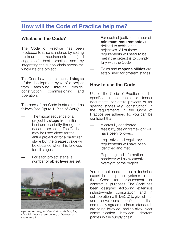## **How will the Code of Practice help me?**

#### **What is in the Code?**

The Code of Practice has been produced to raise standards by setting minimum requirements (and suggested) best practice and by integrating the supply chain across the whole life of a project.

The Code is written to cover all **stages**  of the development cycle of a project from feasibility through design, construction, commissioning and operation.

The core of the Code is structured as follows (see Figure 1, Plan of Work):

- The typical sequence of a project by **stage** from initial brief and feasibility through to decommissioning. The Code may be used either for the entire project or for a particular stage but the greatest value will be obtained when it is followed for all stages.
- For each project stage, a number of **objectives** are set.



*Hydroplates being installed at Kings Mill Hospital, Mansfield (reproduced courtesy of Geothermal International)*

- For each objective a number of **minimum requirements** are defined to achieve the objectives. All of these requirements will need to be met if the project is to comply fully with the Code.
- Roles and **responsibilities** are established for different stages.

#### **How to use the Code**

Use of the Code of Practice can be specified in contracts or tender documents, for entire projects or for specific stages (e.g. construction). If the requirements in the Code of Practice are adhered to, you can be confident that:

- A carefully considered feasibility/design framework will have been followed.
- Legislative and regulatory requirements will have been identified and met.
- Reporting and information handover will allow effective oversight of the project.

You do not need to be a technical expert in heat pump systems to use the Code for procurement or contractual purposes. The Code has been designed (following extensive industry-wide consultation and in collaboration with DECC) to give clients and developers confidence that commonly agreed minimum standards are being followed, and to allow clear communication between different parties in the supply chain.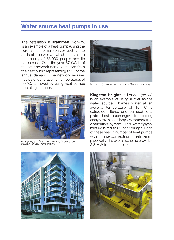## **Water source heat pumps in use**

The installation in **Drammen**, Norway, is an example of a heat pump (using the fjord as its thermal source) feeding into a heat network, which serves a community of 63,000 people and its businesses. Over the year 67 GW·h of the heat network demand is used from the heat pump representing 85% of the annual demand. The network requires hot water generation at temperatures of 90 ºC, achieved by using heat pumps operating in series.



*Heat pumps at Drammen, Norway (reproduced courtesy of Star Refrigeration)*



*Drammen (reproduced courtesy of Star Refrigeration)*

**Kingston Heights** in London (below) is an example of using a river as the water source. Thames water at an average temperature of 10 °C is extracted, filtered and pumped to a plate heat exchanger transferring energy to a closed loop low temperature distribution system. This water/glycol mixture is fed to 39 heat pumps. Each of these feed a number of heat pumps with interconnecting refrigerant pipework. The overall scheme provides 2.3 MW to the complex.